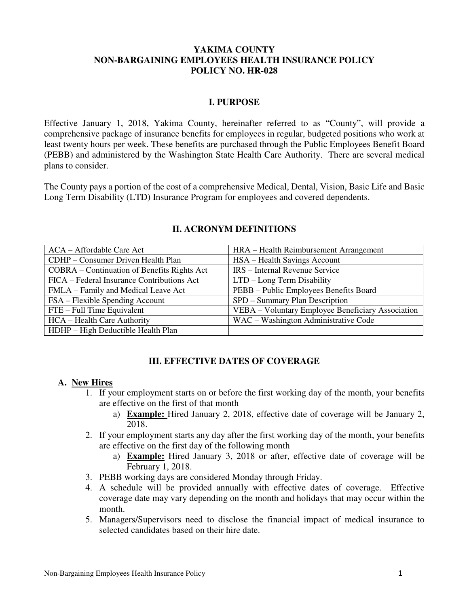### **YAKIMA COUNTY NON-BARGAINING EMPLOYEES HEALTH INSURANCE POLICY POLICY NO. HR-028**

### **I. PURPOSE**

Effective January 1, 2018, Yakima County, hereinafter referred to as "County", will provide a comprehensive package of insurance benefits for employees in regular, budgeted positions who work at least twenty hours per week. These benefits are purchased through the Public Employees Benefit Board (PEBB) and administered by the Washington State Health Care Authority. There are several medical plans to consider.

The County pays a portion of the cost of a comprehensive Medical, Dental, Vision, Basic Life and Basic Long Term Disability (LTD) Insurance Program for employees and covered dependents.

| ACA – Affordable Care Act                   | HRA – Health Reimbursement Arrangement            |
|---------------------------------------------|---------------------------------------------------|
| CDHP – Consumer Driven Health Plan          | HSA – Health Savings Account                      |
| COBRA – Continuation of Benefits Rights Act | IRS - Internal Revenue Service                    |
| FICA – Federal Insurance Contributions Act  | LTD - Long Term Disability                        |
| FMLA – Family and Medical Leave Act         | PEBB - Public Employees Benefits Board            |
| FSA – Flexible Spending Account             | SPD – Summary Plan Description                    |
| FTE – Full Time Equivalent                  | VEBA - Voluntary Employee Beneficiary Association |
| HCA – Health Care Authority                 | WAC - Washington Administrative Code              |
| HDHP – High Deductible Health Plan          |                                                   |

#### **II. ACRONYM DEFINITIONS**

### **III. EFFECTIVE DATES OF COVERAGE**

### **A. New Hires**

- 1. If your employment starts on or before the first working day of the month, your benefits are effective on the first of that month
	- a) **Example:** Hired January 2, 2018, effective date of coverage will be January 2, 2018.
- 2. If your employment starts any day after the first working day of the month, your benefits are effective on the first day of the following month
	- a) **Example:** Hired January 3, 2018 or after, effective date of coverage will be February 1, 2018.
- 3. PEBB working days are considered Monday through Friday.
- 4. A schedule will be provided annually with effective dates of coverage. Effective coverage date may vary depending on the month and holidays that may occur within the month.
- 5. Managers/Supervisors need to disclose the financial impact of medical insurance to selected candidates based on their hire date.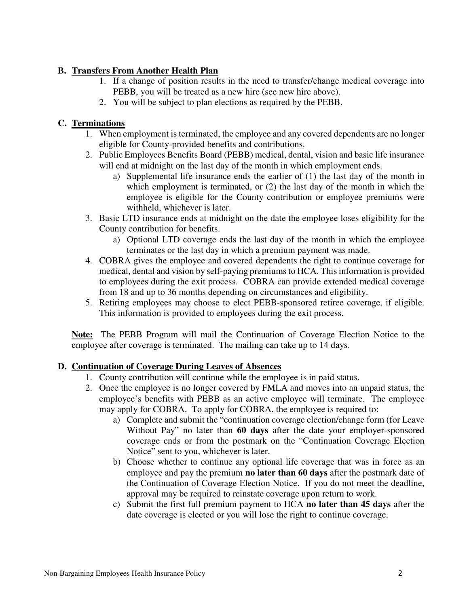## **B. Transfers From Another Health Plan**

- 1. If a change of position results in the need to transfer/change medical coverage into PEBB, you will be treated as a new hire (see new hire above).
- 2. You will be subject to plan elections as required by the PEBB.

# **C. Terminations**

- 1. When employment is terminated, the employee and any covered dependents are no longer eligible for County-provided benefits and contributions.
- 2. Public Employees Benefits Board (PEBB) medical, dental, vision and basic life insurance will end at midnight on the last day of the month in which employment ends.
	- a) Supplemental life insurance ends the earlier of (1) the last day of the month in which employment is terminated, or (2) the last day of the month in which the employee is eligible for the County contribution or employee premiums were withheld, whichever is later.
- 3. Basic LTD insurance ends at midnight on the date the employee loses eligibility for the County contribution for benefits.
	- a) Optional LTD coverage ends the last day of the month in which the employee terminates or the last day in which a premium payment was made.
- 4. COBRA gives the employee and covered dependents the right to continue coverage for medical, dental and vision by self-paying premiums to HCA. This information is provided to employees during the exit process. COBRA can provide extended medical coverage from 18 and up to 36 months depending on circumstances and eligibility.
- 5. Retiring employees may choose to elect PEBB-sponsored retiree coverage, if eligible. This information is provided to employees during the exit process.

**Note:** The PEBB Program will mail the Continuation of Coverage Election Notice to the employee after coverage is terminated. The mailing can take up to 14 days.

# **D. Continuation of Coverage During Leaves of Absences**

- 1. County contribution will continue while the employee is in paid status.
- 2. Once the employee is no longer covered by FMLA and moves into an unpaid status, the employee's benefits with PEBB as an active employee will terminate. The employee may apply for COBRA. To apply for COBRA, the employee is required to:
	- a) Complete and submit the "continuation coverage election/change form (for Leave Without Pay" no later than **60 days** after the date your employer-sponsored coverage ends or from the postmark on the "Continuation Coverage Election Notice" sent to you, whichever is later.
	- b) Choose whether to continue any optional life coverage that was in force as an employee and pay the premium **no later than 60 days** after the postmark date of the Continuation of Coverage Election Notice. If you do not meet the deadline, approval may be required to reinstate coverage upon return to work.
	- c) Submit the first full premium payment to HCA **no later than 45 days** after the date coverage is elected or you will lose the right to continue coverage.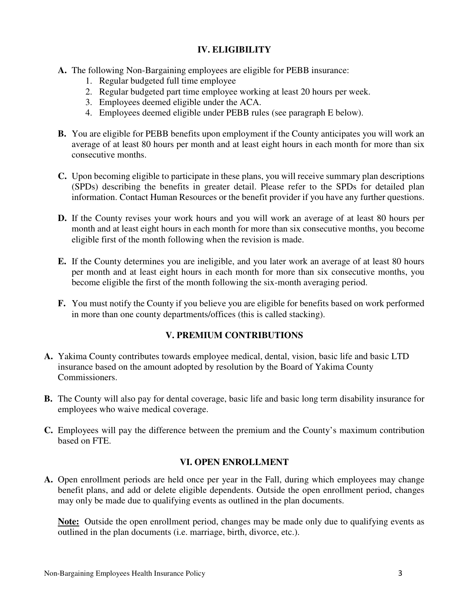## **IV. ELIGIBILITY**

- **A.** The following Non-Bargaining employees are eligible for PEBB insurance:
	- 1. Regular budgeted full time employee
	- 2. Regular budgeted part time employee working at least 20 hours per week.
	- 3. Employees deemed eligible under the ACA.
	- 4. Employees deemed eligible under PEBB rules (see paragraph E below).
- **B.** You are eligible for PEBB benefits upon employment if the County anticipates you will work an average of at least 80 hours per month and at least eight hours in each month for more than six consecutive months.
- **C.** Upon becoming eligible to participate in these plans, you will receive summary plan descriptions (SPDs) describing the benefits in greater detail. Please refer to the SPDs for detailed plan information. Contact Human Resources or the benefit provider if you have any further questions.
- **D.** If the County revises your work hours and you will work an average of at least 80 hours per month and at least eight hours in each month for more than six consecutive months, you become eligible first of the month following when the revision is made.
- **E.** If the County determines you are ineligible, and you later work an average of at least 80 hours per month and at least eight hours in each month for more than six consecutive months, you become eligible the first of the month following the six-month averaging period.
- **F.** You must notify the County if you believe you are eligible for benefits based on work performed in more than one county departments/offices (this is called stacking).

## **V. PREMIUM CONTRIBUTIONS**

- **A.** Yakima County contributes towards employee medical, dental, vision, basic life and basic LTD insurance based on the amount adopted by resolution by the Board of Yakima County Commissioners.
- **B.** The County will also pay for dental coverage, basic life and basic long term disability insurance for employees who waive medical coverage.
- **C.** Employees will pay the difference between the premium and the County's maximum contribution based on FTE.

## **VI. OPEN ENROLLMENT**

**A.** Open enrollment periods are held once per year in the Fall, during which employees may change benefit plans, and add or delete eligible dependents. Outside the open enrollment period, changes may only be made due to qualifying events as outlined in the plan documents.

**Note:** Outside the open enrollment period, changes may be made only due to qualifying events as outlined in the plan documents (i.e. marriage, birth, divorce, etc.).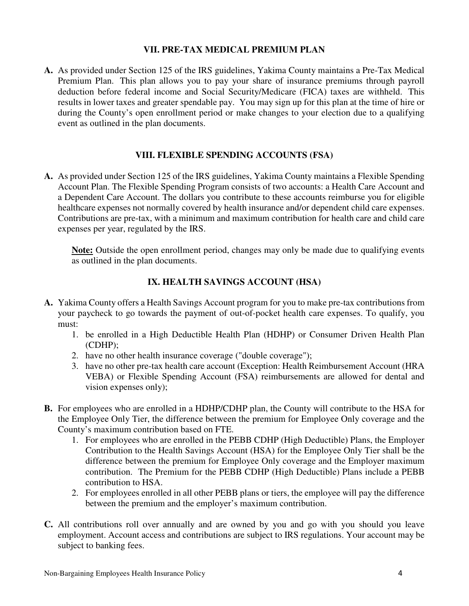### **VII. PRE-TAX MEDICAL PREMIUM PLAN**

**A.** As provided under Section 125 of the IRS guidelines, Yakima County maintains a Pre-Tax Medical Premium Plan. This plan allows you to pay your share of insurance premiums through payroll deduction before federal income and Social Security/Medicare (FICA) taxes are withheld. This results in lower taxes and greater spendable pay. You may sign up for this plan at the time of hire or during the County's open enrollment period or make changes to your election due to a qualifying event as outlined in the plan documents.

### **VIII. FLEXIBLE SPENDING ACCOUNTS (FSA)**

**A.** As provided under Section 125 of the IRS guidelines, Yakima County maintains a Flexible Spending Account Plan. The Flexible Spending Program consists of two accounts: a Health Care Account and a Dependent Care Account. The dollars you contribute to these accounts reimburse you for eligible healthcare expenses not normally covered by health insurance and/or dependent child care expenses. Contributions are pre-tax, with a minimum and maximum contribution for health care and child care expenses per year, regulated by the IRS.

**Note:** Outside the open enrollment period, changes may only be made due to qualifying events as outlined in the plan documents.

## **IX. HEALTH SAVINGS ACCOUNT (HSA)**

- **A.** Yakima County offers a Health Savings Account program for you to make pre-tax contributions from your paycheck to go towards the payment of out-of-pocket health care expenses. To qualify, you must:
	- 1. be enrolled in a High Deductible Health Plan (HDHP) or Consumer Driven Health Plan (CDHP);
	- 2. have no other health insurance coverage ("double coverage");
	- 3. have no other pre-tax health care account (Exception: Health Reimbursement Account (HRA VEBA) or Flexible Spending Account (FSA) reimbursements are allowed for dental and vision expenses only);
- **B.** For employees who are enrolled in a HDHP/CDHP plan, the County will contribute to the HSA for the Employee Only Tier, the difference between the premium for Employee Only coverage and the County's maximum contribution based on FTE.
	- 1. For employees who are enrolled in the PEBB CDHP (High Deductible) Plans, the Employer Contribution to the Health Savings Account (HSA) for the Employee Only Tier shall be the difference between the premium for Employee Only coverage and the Employer maximum contribution. The Premium for the PEBB CDHP (High Deductible) Plans include a PEBB contribution to HSA.
	- 2. For employees enrolled in all other PEBB plans or tiers, the employee will pay the difference between the premium and the employer's maximum contribution.
- **C.** All contributions roll over annually and are owned by you and go with you should you leave employment. Account access and contributions are subject to IRS regulations. Your account may be subject to banking fees.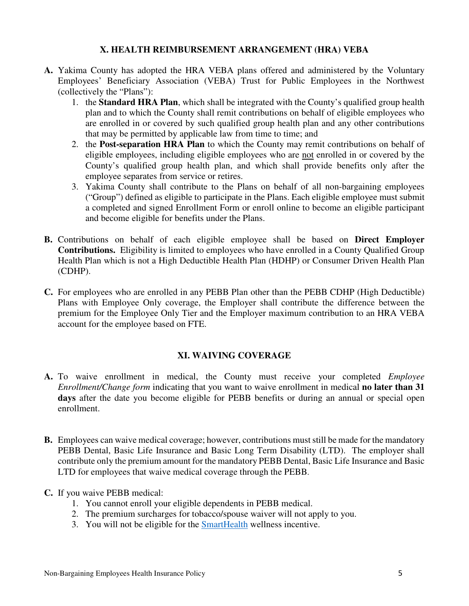### **X. HEALTH REIMBURSEMENT ARRANGEMENT (HRA) VEBA**

- **A.** Yakima County has adopted the HRA VEBA plans offered and administered by the Voluntary Employees' Beneficiary Association (VEBA) Trust for Public Employees in the Northwest (collectively the "Plans"):
	- 1. the **Standard HRA Plan**, which shall be integrated with the County's qualified group health plan and to which the County shall remit contributions on behalf of eligible employees who are enrolled in or covered by such qualified group health plan and any other contributions that may be permitted by applicable law from time to time; and
	- 2. the **Post-separation HRA Plan** to which the County may remit contributions on behalf of eligible employees, including eligible employees who are not enrolled in or covered by the County's qualified group health plan, and which shall provide benefits only after the employee separates from service or retires.
	- 3. Yakima County shall contribute to the Plans on behalf of all non-bargaining employees ("Group") defined as eligible to participate in the Plans. Each eligible employee must submit a completed and signed Enrollment Form or enroll online to become an eligible participant and become eligible for benefits under the Plans.
- **B.** Contributions on behalf of each eligible employee shall be based on **Direct Employer Contributions.** Eligibility is limited to employees who have enrolled in a County Qualified Group Health Plan which is not a High Deductible Health Plan (HDHP) or Consumer Driven Health Plan (CDHP).
- **C.** For employees who are enrolled in any PEBB Plan other than the PEBB CDHP (High Deductible) Plans with Employee Only coverage, the Employer shall contribute the difference between the premium for the Employee Only Tier and the Employer maximum contribution to an HRA VEBA account for the employee based on FTE.

# **XI. WAIVING COVERAGE**

- **A.** To waive enrollment in medical, the County must receive your completed *Employee Enrollment/Change form* indicating that you want to waive enrollment in medical **no later than 31**  days after the date you become eligible for PEBB benefits or during an annual or special open enrollment.
- **B.** Employees can waive medical coverage; however, contributions must still be made for the mandatory PEBB Dental, Basic Life Insurance and Basic Long Term Disability (LTD). The employer shall contribute only the premium amount for the mandatory PEBB Dental, Basic Life Insurance and Basic LTD for employees that waive medical coverage through the PEBB.
- **C.** If you waive PEBB medical:
	- 1. You cannot enroll your eligible dependents in PEBB medical.
	- 2. The premium surcharges for tobacco/spouse waiver will not apply to you.
	- 3. You will not be eligible for the SmartHealth wellness incentive.